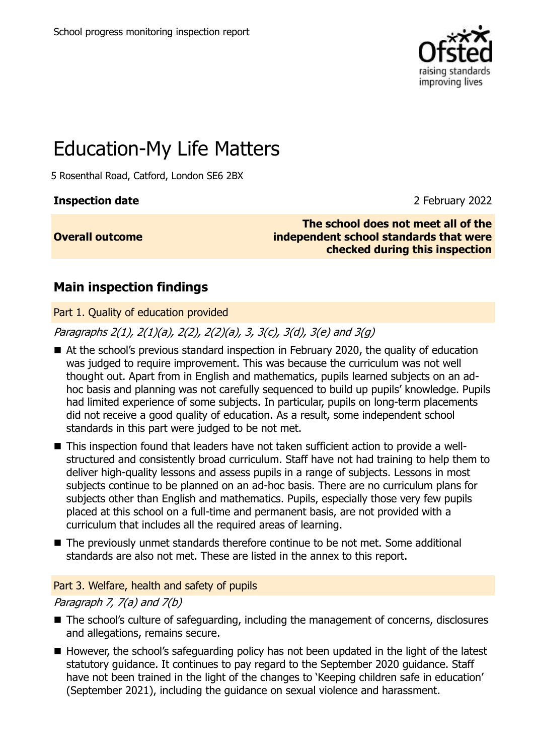

# Education-My Life Matters

5 Rosenthal Road, Catford, London SE6 2BX

### **Inspection date** 2 **February 2022**

**Overall outcome**

**The school does not meet all of the independent school standards that were checked during this inspection**

### **Main inspection findings**

Part 1. Quality of education provided

Paragraphs 2(1), 2(1)(a), 2(2), 2(2)(a), 3, 3(c), 3(d), 3(e) and 3(g)

- At the school's previous standard inspection in February 2020, the quality of education was judged to require improvement. This was because the curriculum was not well thought out. Apart from in English and mathematics, pupils learned subjects on an adhoc basis and planning was not carefully sequenced to build up pupils' knowledge. Pupils had limited experience of some subjects. In particular, pupils on long-term placements did not receive a good quality of education. As a result, some independent school standards in this part were judged to be not met.
- This inspection found that leaders have not taken sufficient action to provide a wellstructured and consistently broad curriculum. Staff have not had training to help them to deliver high-quality lessons and assess pupils in a range of subjects. Lessons in most subjects continue to be planned on an ad-hoc basis. There are no curriculum plans for subjects other than English and mathematics. Pupils, especially those very few pupils placed at this school on a full-time and permanent basis, are not provided with a curriculum that includes all the required areas of learning.
- The previously unmet standards therefore continue to be not met. Some additional standards are also not met. These are listed in the annex to this report.

### Part 3. Welfare, health and safety of pupils

### Paragraph 7, 7(a) and 7(b)

- The school's culture of safeguarding, including the management of concerns, disclosures and allegations, remains secure.
- However, the school's safeguarding policy has not been updated in the light of the latest statutory guidance. It continues to pay regard to the September 2020 guidance. Staff have not been trained in the light of the changes to 'Keeping children safe in education' (September 2021), including the guidance on sexual violence and harassment.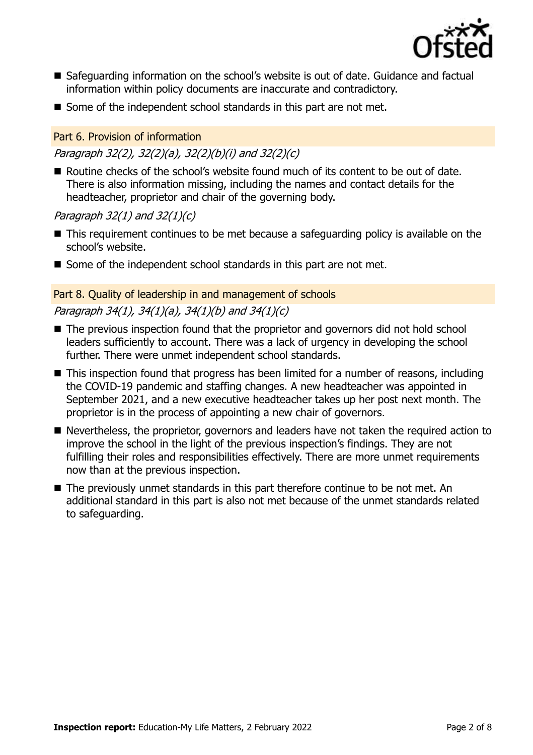

- Safeguarding information on the school's website is out of date. Guidance and factual information within policy documents are inaccurate and contradictory.
- Some of the independent school standards in this part are not met.

### Part 6. Provision of information

### Paragraph 32(2), 32(2)(a), 32(2)(b)(i) and 32(2)(c)

■ Routine checks of the school's website found much of its content to be out of date. There is also information missing, including the names and contact details for the headteacher, proprietor and chair of the governing body.

### Paragraph  $32(1)$  and  $32(1)(c)$

- This requirement continues to be met because a safeguarding policy is available on the school's website.
- Some of the independent school standards in this part are not met.

### Part 8. Quality of leadership in and management of schools

### Paragraph 34(1), 34(1)(a), 34(1)(b) and 34(1)(c)

- The previous inspection found that the proprietor and governors did not hold school leaders sufficiently to account. There was a lack of urgency in developing the school further. There were unmet independent school standards.
- This inspection found that progress has been limited for a number of reasons, including the COVID-19 pandemic and staffing changes. A new headteacher was appointed in September 2021, and a new executive headteacher takes up her post next month. The proprietor is in the process of appointing a new chair of governors.
- Nevertheless, the proprietor, governors and leaders have not taken the required action to improve the school in the light of the previous inspection's findings. They are not fulfilling their roles and responsibilities effectively. There are more unmet requirements now than at the previous inspection.
- The previously unmet standards in this part therefore continue to be not met. An additional standard in this part is also not met because of the unmet standards related to safeguarding.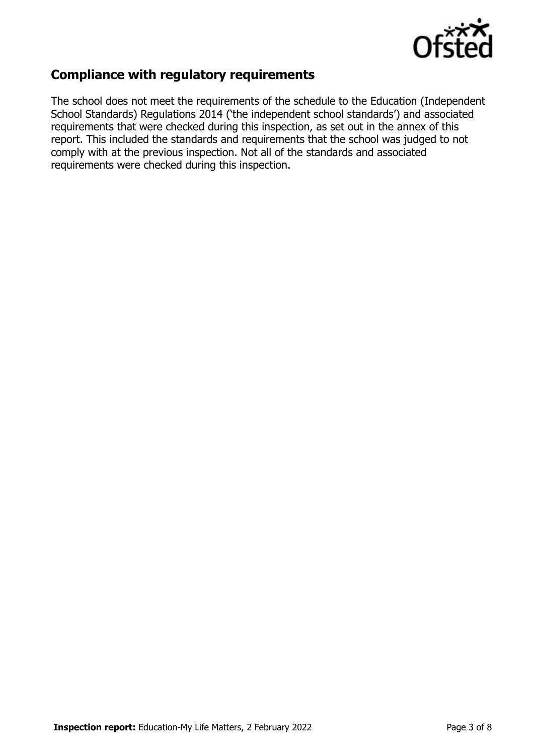

### **Compliance with regulatory requirements**

The school does not meet the requirements of the schedule to the Education (Independent School Standards) Regulations 2014 ('the independent school standards') and associated requirements that were checked during this inspection, as set out in the annex of this report. This included the standards and requirements that the school was judged to not comply with at the previous inspection. Not all of the standards and associated requirements were checked during this inspection.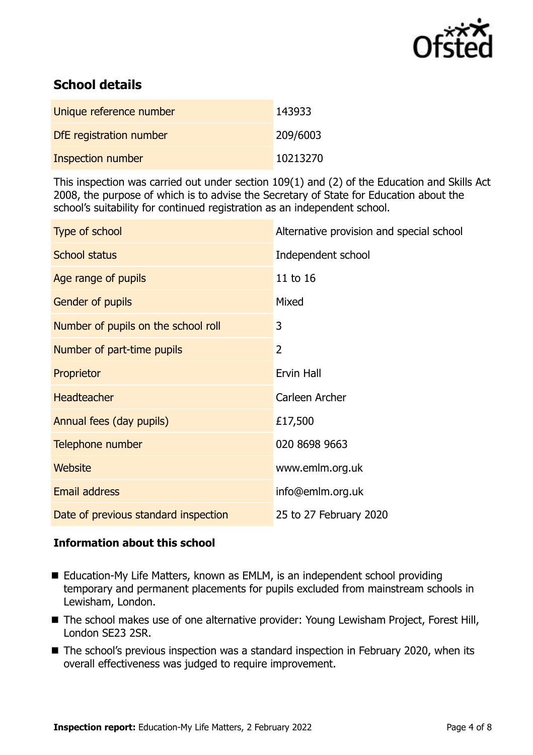

## **School details**

| Unique reference number  | 143933   |
|--------------------------|----------|
| DfE registration number  | 209/6003 |
| <b>Inspection number</b> | 10213270 |

This inspection was carried out under section 109(1) and (2) of the Education and Skills Act 2008, the purpose of which is to advise the Secretary of State for Education about the school's suitability for continued registration as an independent school.

| Type of school                       | Alternative provision and special school |
|--------------------------------------|------------------------------------------|
| <b>School status</b>                 | Independent school                       |
| Age range of pupils                  | 11 to 16                                 |
| Gender of pupils                     | Mixed                                    |
| Number of pupils on the school roll  | 3                                        |
| Number of part-time pupils           | 2                                        |
| Proprietor                           | Ervin Hall                               |
| <b>Headteacher</b>                   | Carleen Archer                           |
| Annual fees (day pupils)             | £17,500                                  |
| Telephone number                     | 020 8698 9663                            |
| <b>Website</b>                       | www.emlm.org.uk                          |
| <b>Email address</b>                 | info@emlm.org.uk                         |
| Date of previous standard inspection | 25 to 27 February 2020                   |

### **Information about this school**

- Education-My Life Matters, known as EMLM, is an independent school providing temporary and permanent placements for pupils excluded from mainstream schools in Lewisham, London.
- The school makes use of one alternative provider: Young Lewisham Project, Forest Hill, London SE23 2SR.
- The school's previous inspection was a standard inspection in February 2020, when its overall effectiveness was judged to require improvement.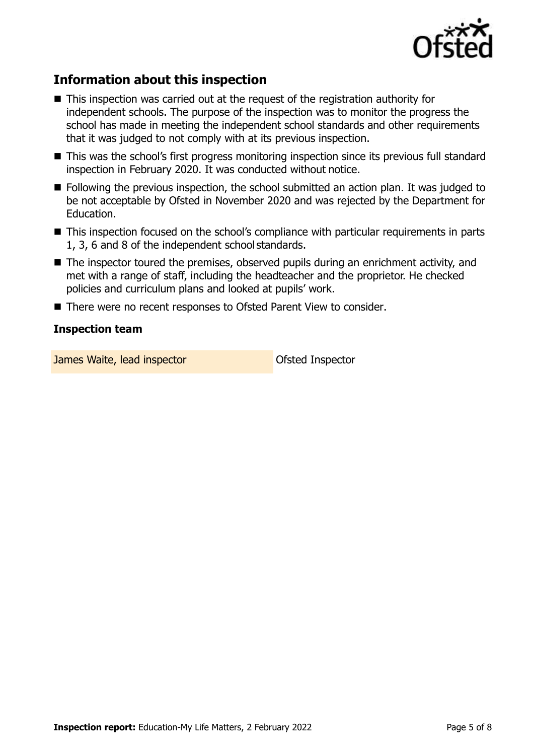

## **Information about this inspection**

- This inspection was carried out at the request of the registration authority for independent schools. The purpose of the inspection was to monitor the progress the school has made in meeting the independent school standards and other requirements that it was judged to not comply with at its previous inspection.
- This was the school's first progress monitoring inspection since its previous full standard inspection in February 2020. It was conducted without notice.
- Following the previous inspection, the school submitted an action plan. It was judged to be not acceptable by Ofsted in November 2020 and was rejected by the Department for Education.
- This inspection focused on the school's compliance with particular requirements in parts 1, 3, 6 and 8 of the independent school standards.
- The inspector toured the premises, observed pupils during an enrichment activity, and met with a range of staff, including the headteacher and the proprietor. He checked policies and curriculum plans and looked at pupils' work.
- There were no recent responses to Ofsted Parent View to consider.

#### **Inspection team**

**James Waite, lead inspector Construction Construction Construction Construction**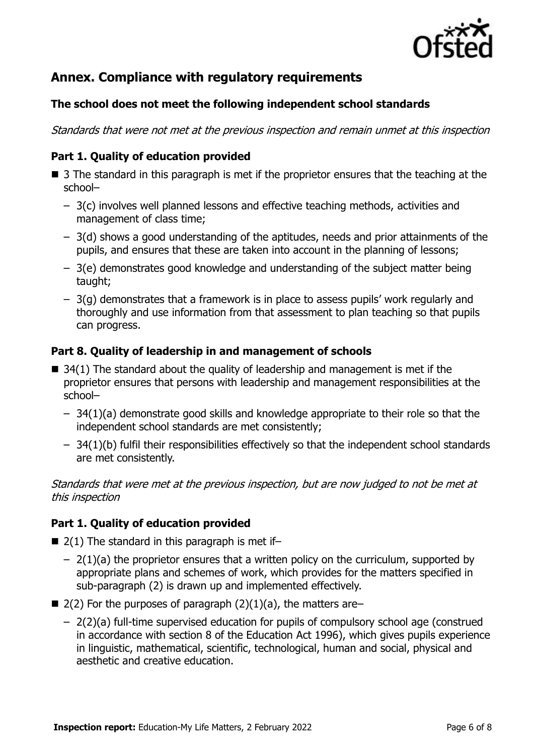

## **Annex. Compliance with regulatory requirements**

### **The school does not meet the following independent school standards**

Standards that were not met at the previous inspection and remain unmet at this inspection

### **Part 1. Quality of education provided**

- $\blacksquare$  3 The standard in this paragraph is met if the proprietor ensures that the teaching at the school–
	- 3(c) involves well planned lessons and effective teaching methods, activities and management of class time;
	- 3(d) shows a good understanding of the aptitudes, needs and prior attainments of the pupils, and ensures that these are taken into account in the planning of lessons;
	- 3(e) demonstrates good knowledge and understanding of the subject matter being taught;
	- 3(g) demonstrates that a framework is in place to assess pupils' work regularly and thoroughly and use information from that assessment to plan teaching so that pupils can progress.

### **Part 8. Quality of leadership in and management of schools**

- $\blacksquare$  34(1) The standard about the quality of leadership and management is met if the proprietor ensures that persons with leadership and management responsibilities at the school–
	- 34(1)(a) demonstrate good skills and knowledge appropriate to their role so that the independent school standards are met consistently;
	- 34(1)(b) fulfil their responsibilities effectively so that the independent school standards are met consistently.

Standards that were met at the previous inspection, but are now judged to not be met at this inspection

### **Part 1. Quality of education provided**

- $\blacksquare$  2(1) The standard in this paragraph is met if-
	- $-2(1)(a)$  the proprietor ensures that a written policy on the curriculum, supported by appropriate plans and schemes of work, which provides for the matters specified in sub-paragraph (2) is drawn up and implemented effectively.
- $\blacksquare$  2(2) For the purposes of paragraph (2)(1)(a), the matters are–
	- 2(2)(a) full-time supervised education for pupils of compulsory school age (construed in accordance with section 8 of the Education Act 1996), which gives pupils experience in linguistic, mathematical, scientific, technological, human and social, physical and aesthetic and creative education.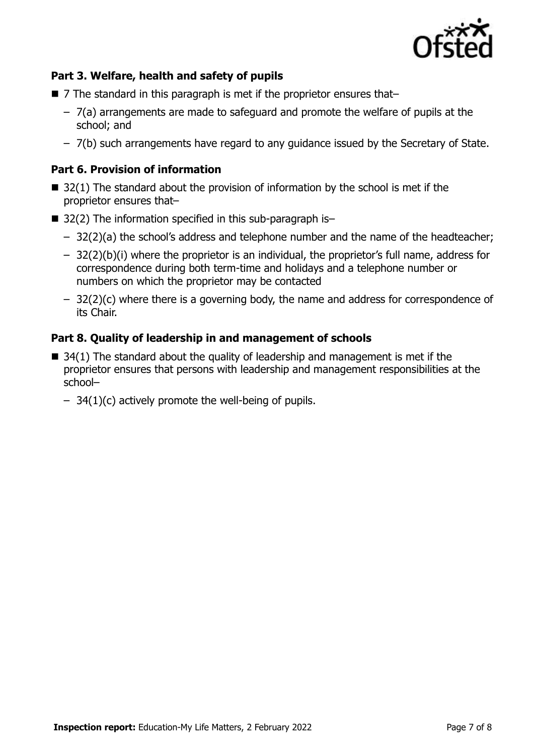

### **Part 3. Welfare, health and safety of pupils**

- 7 The standard in this paragraph is met if the proprietor ensures that–
	- 7(a) arrangements are made to safeguard and promote the welfare of pupils at the school; and
	- 7(b) such arrangements have regard to any guidance issued by the Secretary of State.

### **Part 6. Provision of information**

- $\blacksquare$  32(1) The standard about the provision of information by the school is met if the proprietor ensures that–
- $\blacksquare$  32(2) The information specified in this sub-paragraph is-
	- 32(2)(a) the school's address and telephone number and the name of the headteacher;
	- 32(2)(b)(i) where the proprietor is an individual, the proprietor's full name, address for correspondence during both term-time and holidays and a telephone number or numbers on which the proprietor may be contacted
	- 32(2)(c) where there is a governing body, the name and address for correspondence of its Chair.

### **Part 8. Quality of leadership in and management of schools**

- $\blacksquare$  34(1) The standard about the quality of leadership and management is met if the proprietor ensures that persons with leadership and management responsibilities at the school–
	- $-$  34(1)(c) actively promote the well-being of pupils.